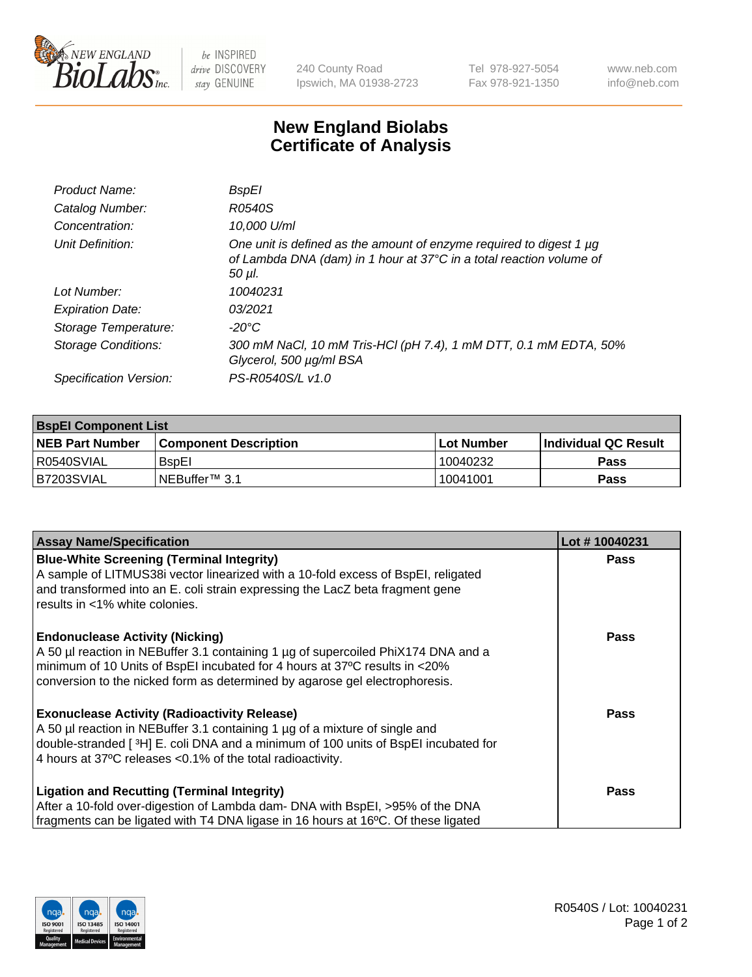

be INSPIRED drive DISCOVERY stay GENUINE

240 County Road Ipswich, MA 01938-2723 Tel 978-927-5054 Fax 978-921-1350 www.neb.com info@neb.com

## **New England Biolabs Certificate of Analysis**

| <b>BspEl</b>                                                                                                                                         |
|------------------------------------------------------------------------------------------------------------------------------------------------------|
| R0540S                                                                                                                                               |
| 10,000 U/ml                                                                                                                                          |
| One unit is defined as the amount of enzyme required to digest 1 µg<br>of Lambda DNA (dam) in 1 hour at 37°C in a total reaction volume of<br>50 µI. |
| 10040231                                                                                                                                             |
| 03/2021                                                                                                                                              |
| -20°C                                                                                                                                                |
| 300 mM NaCl, 10 mM Tris-HCl (pH 7.4), 1 mM DTT, 0.1 mM EDTA, 50%<br>Glycerol, 500 µg/ml BSA                                                          |
| PS-R0540S/L v1.0                                                                                                                                     |
|                                                                                                                                                      |

| <b>BspEl Component List</b> |                              |             |                       |  |
|-----------------------------|------------------------------|-------------|-----------------------|--|
| <b>NEB Part Number</b>      | <b>Component Description</b> | ⊺Lot Number | ∣Individual QC Result |  |
| l R0540SVIAL                | <b>B</b> spEI                | 10040232    | <b>Pass</b>           |  |
| I B7203SVIAL                | <sup>I</sup> NEBuffer™ 3.1   | 10041001    | <b>Pass</b>           |  |

| <b>Assay Name/Specification</b>                                                    | Lot #10040231 |
|------------------------------------------------------------------------------------|---------------|
| <b>Blue-White Screening (Terminal Integrity)</b>                                   | <b>Pass</b>   |
| A sample of LITMUS38i vector linearized with a 10-fold excess of BspEI, religated  |               |
| and transformed into an E. coli strain expressing the LacZ beta fragment gene      |               |
| results in <1% white colonies.                                                     |               |
| <b>Endonuclease Activity (Nicking)</b>                                             | <b>Pass</b>   |
| A 50 µl reaction in NEBuffer 3.1 containing 1 µg of supercoiled PhiX174 DNA and a  |               |
| minimum of 10 Units of BspEI incubated for 4 hours at 37°C results in <20%         |               |
| conversion to the nicked form as determined by agarose gel electrophoresis.        |               |
| <b>Exonuclease Activity (Radioactivity Release)</b>                                | Pass          |
| A 50 µl reaction in NEBuffer 3.1 containing 1 µg of a mixture of single and        |               |
| double-stranded [3H] E. coli DNA and a minimum of 100 units of BspEI incubated for |               |
| 4 hours at 37°C releases < 0.1% of the total radioactivity.                        |               |
| <b>Ligation and Recutting (Terminal Integrity)</b>                                 | <b>Pass</b>   |
| After a 10-fold over-digestion of Lambda dam- DNA with BspEI, >95% of the DNA      |               |
| fragments can be ligated with T4 DNA ligase in 16 hours at 16°C. Of these ligated  |               |